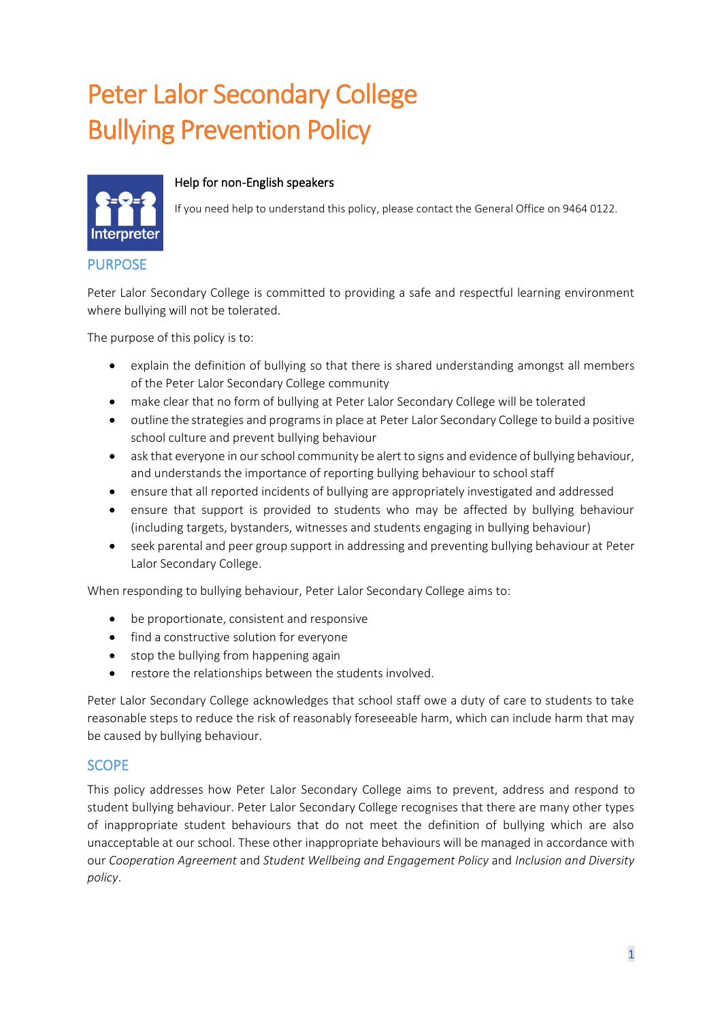# Peter Lalor Secondary College Bullying Prevention Policy



#### Help for non-English speakers

If you need help to understand this policy, please contact the General Office on 9464 0122.

PURPOSE

Peter Lalor Secondary College is committed to providing a safe and respectful learning environment where bullying will not be tolerated.

The purpose of this policy is to:

- explain the definition of bullying so that there is shared understanding amongst all members of the Peter Lalor Secondary College community
- make clear that no form of bullying at Peter Lalor Secondary College will be tolerated
- outline the strategies and programs in place at Peter Lalor Secondary College to build a positive school culture and prevent bullying behaviour
- ask that everyone in our school community be alert to signs and evidence of bullying behaviour, and understands the importance of reporting bullying behaviour to school staff
- ensure that all reported incidents of bullying are appropriately investigated and addressed
- ensure that support is provided to students who may be affected by bullying behaviour (including targets, bystanders, witnesses and students engaging in bullying behaviour)
- seek parental and peer group support in addressing and preventing bullying behaviour at Peter Lalor Secondary College.

When responding to bullying behaviour, Peter Lalor Secondary College aims to:

- be proportionate, consistent and responsive
- find a constructive solution for everyone
- stop the bullying from happening again
- restore the relationships between the students involved.

Peter Lalor Secondary College acknowledges that school staff owe a duty of care to students to take reasonable steps to reduce the risk of reasonably foreseeable harm, which can include harm that may be caused by bullying behaviour.

### SCOPE

This policy addresses how Peter Lalor Secondary College aims to prevent, address and respond to student bullying behaviour. Peter Lalor Secondary College recognises that there are many other types of inappropriate student behaviours that do not meet the definition of bullying which are also unacceptable at our school. These other inappropriate behaviours will be managed in accordance with our *Cooperation Agreement* and *Student Wellbeing and Engagement Policy* and *Inclusion and Diversity policy*.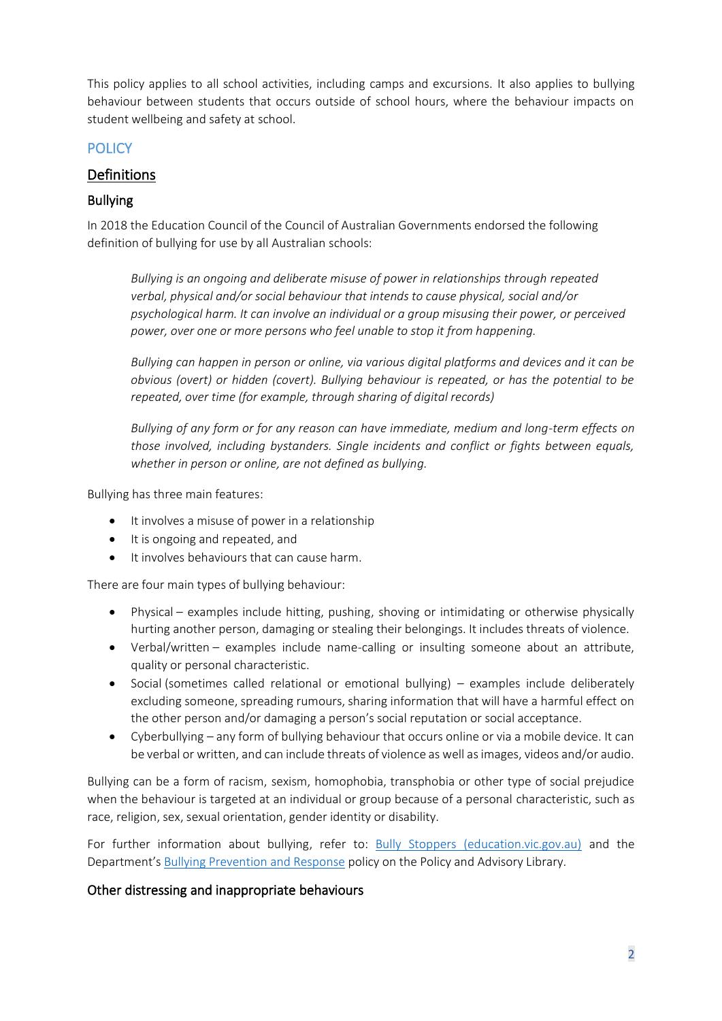This policy applies to all school activities, including camps and excursions. It also applies to bullying behaviour between students that occurs outside of school hours, where the behaviour impacts on student wellbeing and safety at school.

## **POLICY**

## Definitions

## Bullying

In 2018 the Education Council of the Council of Australian Governments endorsed the following definition of bullying for use by all Australian schools:

*Bullying is an ongoing and deliberate misuse of power in relationships through repeated verbal, physical and/or social behaviour that intends to cause physical, social and/or psychological harm. It can involve an individual or a group misusing their power, or perceived power, over one or more persons who feel unable to stop it from happening.*

*Bullying can happen in person or online, via various digital platforms and devices and it can be obvious (overt) or hidden (covert). Bullying behaviour is repeated, or has the potential to be repeated, over time (for example, through sharing of digital records)*

*Bullying of any form or for any reason can have immediate, medium and long-term effects on those involved, including bystanders. Single incidents and conflict or fights between equals, whether in person or online, are not defined as bullying.* 

Bullying has three main features:

- It involves a misuse of power in a relationship
- It is ongoing and repeated, and
- It involves behaviours that can cause harm.

There are four main types of bullying behaviour:

- Physical examples include hitting, pushing, shoving or intimidating or otherwise physically hurting another person, damaging or stealing their belongings. It includes threats of violence.
- Verbal/written examples include name-calling or insulting someone about an attribute, quality or personal characteristic.
- Social (sometimes called relational or emotional bullying) examples include deliberately excluding someone, spreading rumours, sharing information that will have a harmful effect on the other person and/or damaging a person's social reputation or social acceptance.
- Cyberbullying any form of bullying behaviour that occurs online or via a mobile device. It can be verbal or written, and can include threats of violence as well as images, videos and/or audio.

Bullying can be a form of racism, sexism, homophobia, transphobia or other type of social prejudice when the behaviour is targeted at an individual or group because of a personal characteristic, such as race, religion, sex, sexual orientation, gender identity or disability.

For further information about bullying, refer to: [Bully Stoppers \(education.vic.gov.au\)](https://www.education.vic.gov.au/about/programs/bullystoppers/Pages/default.aspx) and the Department's [Bullying Prevention and Response](https://www2.education.vic.gov.au/pal/bullying-prevention-response/policy) policy on the Policy and Advisory Library.

### Other distressing and inappropriate behaviours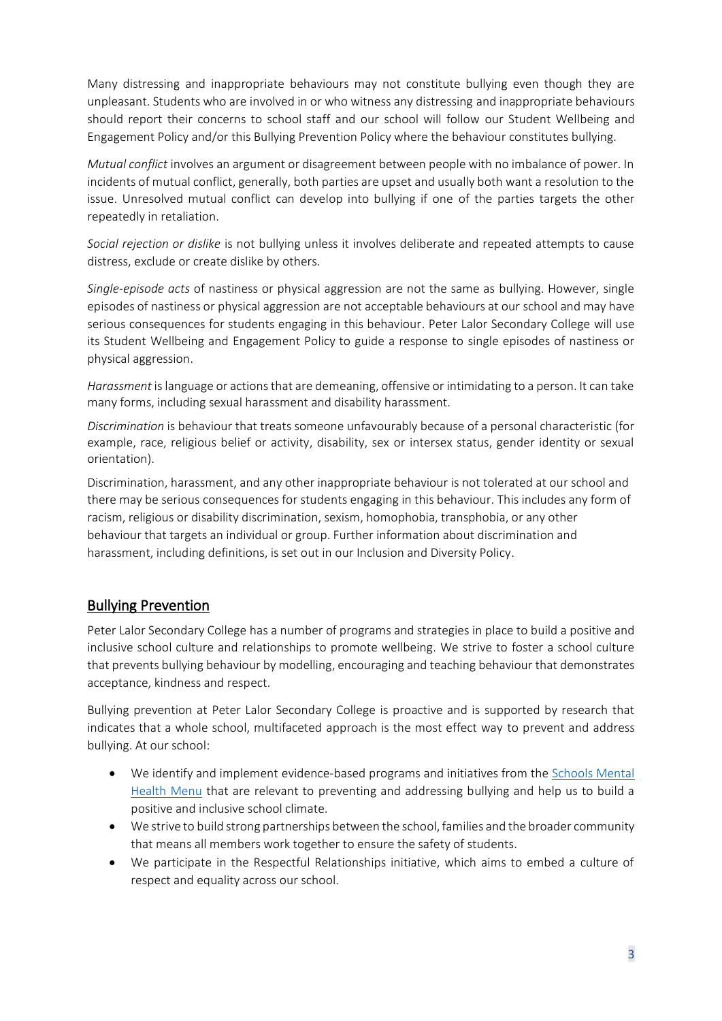Many distressing and inappropriate behaviours may not constitute bullying even though they are unpleasant. Students who are involved in or who witness any distressing and inappropriate behaviours should report their concerns to school staff and our school will follow our Student Wellbeing and Engagement Policy and/or this Bullying Prevention Policy where the behaviour constitutes bullying.

*Mutual conflict* involves an argument or disagreement between people with no imbalance of power. In incidents of mutual conflict, generally, both parties are upset and usually both want a resolution to the issue. Unresolved mutual conflict can develop into bullying if one of the parties targets the other repeatedly in retaliation.

*Social rejection or dislike* is not bullying unless it involves deliberate and repeated attempts to cause distress, exclude or create dislike by others.

*Single-episode acts* of nastiness or physical aggression are not the same as bullying. However, single episodes of nastiness or physical aggression are not acceptable behaviours at our school and may have serious consequences for students engaging in this behaviour. Peter Lalor Secondary College will use its Student Wellbeing and Engagement Policy to guide a response to single episodes of nastiness or physical aggression.

*Harassment* is language or actions that are demeaning, offensive or intimidating to a person. It can take many forms, including sexual harassment and disability harassment.

*Discrimination* is behaviour that treats someone unfavourably because of a personal characteristic (for example, race, religious belief or activity, disability, sex or intersex status, gender identity or sexual orientation).

Discrimination, harassment, and any other inappropriate behaviour is not tolerated at our school and there may be serious consequences for students engaging in this behaviour. This includes any form of racism, religious or disability discrimination, sexism, homophobia, transphobia, or any other behaviour that targets an individual or group. Further information about discrimination and harassment, including definitions, is set out in our Inclusion and Diversity Policy.

## Bullying Prevention

Peter Lalor Secondary College has a number of programs and strategies in place to build a positive and inclusive school culture and relationships to promote wellbeing. We strive to foster a school culture that prevents bullying behaviour by modelling, encouraging and teaching behaviour that demonstrates acceptance, kindness and respect.

Bullying prevention at Peter Lalor Secondary College is proactive and is supported by research that indicates that a whole school, multifaceted approach is the most effect way to prevent and address bullying. At our school:

- We identify and implement evidence-based programs and initiatives from the [Schools Mental](https://www.education.vic.gov.au/school/teachers/health/mentalhealth/mental-health-menu/Pages/Menu.aspx?Redirect=1)  [Health Menu](https://www.education.vic.gov.au/school/teachers/health/mentalhealth/mental-health-menu/Pages/Menu.aspx?Redirect=1) that are relevant to preventing and addressing bullying and help us to build a positive and inclusive school climate.
- We strive to build strong partnerships between the school, families and the broader community that means all members work together to ensure the safety of students.
- We participate in the Respectful Relationships initiative, which aims to embed a culture of respect and equality across our school.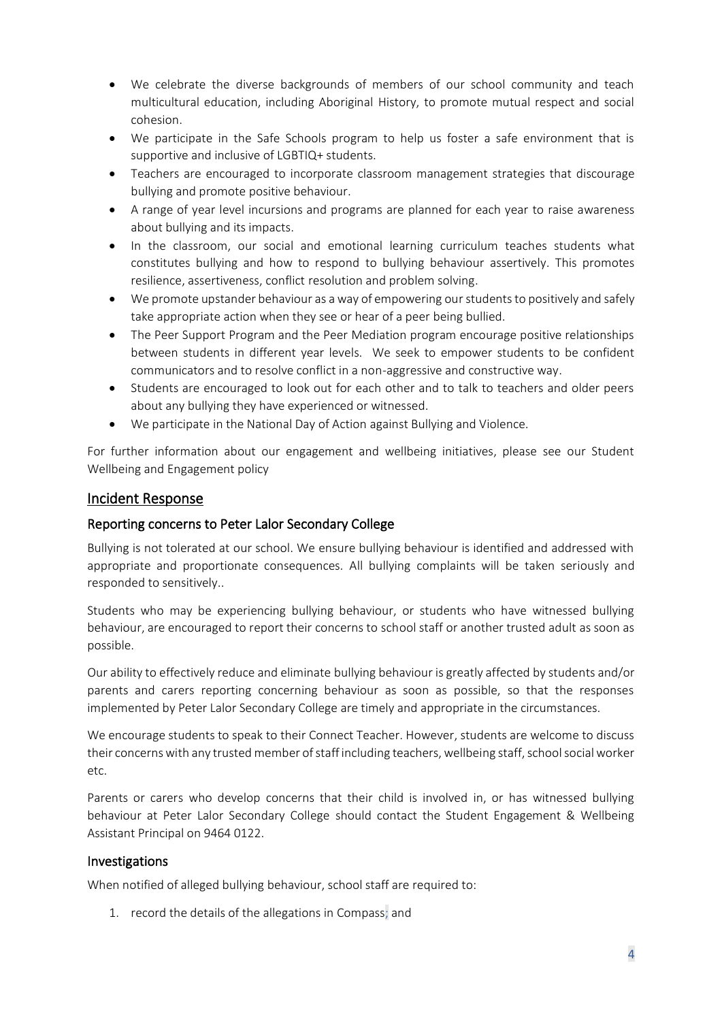- We celebrate the diverse backgrounds of members of our school community and teach multicultural education, including Aboriginal History, to promote mutual respect and social cohesion.
- We participate in the Safe Schools program to help us foster a safe environment that is supportive and inclusive of LGBTIQ+ students.
- Teachers are encouraged to incorporate classroom management strategies that discourage bullying and promote positive behaviour.
- A range of year level incursions and programs are planned for each year to raise awareness about bullying and its impacts.
- In the classroom, our social and emotional learning curriculum teaches students what constitutes bullying and how to respond to bullying behaviour assertively. This promotes resilience, assertiveness, conflict resolution and problem solving.
- We promote upstander behaviour as a way of empowering our students to positively and safely take appropriate action when they see or hear of a peer being bullied.
- The Peer Support Program and the Peer Mediation program encourage positive relationships between students in different year levels. We seek to empower students to be confident communicators and to resolve conflict in a non-aggressive and constructive way.
- Students are encouraged to look out for each other and to talk to teachers and older peers about any bullying they have experienced or witnessed.
- We participate in the National Day of Action against Bullying and Violence.

For further information about our engagement and wellbeing initiatives, please see our Student Wellbeing and Engagement policy

### Incident Response

#### Reporting concerns to Peter Lalor Secondary College

Bullying is not tolerated at our school. We ensure bullying behaviour is identified and addressed with appropriate and proportionate consequences. All bullying complaints will be taken seriously and responded to sensitively..

Students who may be experiencing bullying behaviour, or students who have witnessed bullying behaviour, are encouraged to report their concerns to school staff or another trusted adult as soon as possible.

Our ability to effectively reduce and eliminate bullying behaviour is greatly affected by students and/or parents and carers reporting concerning behaviour as soon as possible, so that the responses implemented by Peter Lalor Secondary College are timely and appropriate in the circumstances.

We encourage students to speak to their Connect Teacher. However, students are welcome to discuss their concerns with any trusted member of staff including teachers, wellbeing staff, school social worker etc.

Parents or carers who develop concerns that their child is involved in, or has witnessed bullying behaviour at Peter Lalor Secondary College should contact the Student Engagement & Wellbeing Assistant Principal on 9464 0122.

#### Investigations

When notified of alleged bullying behaviour, school staff are required to:

1. record the details of the allegations in Compass; and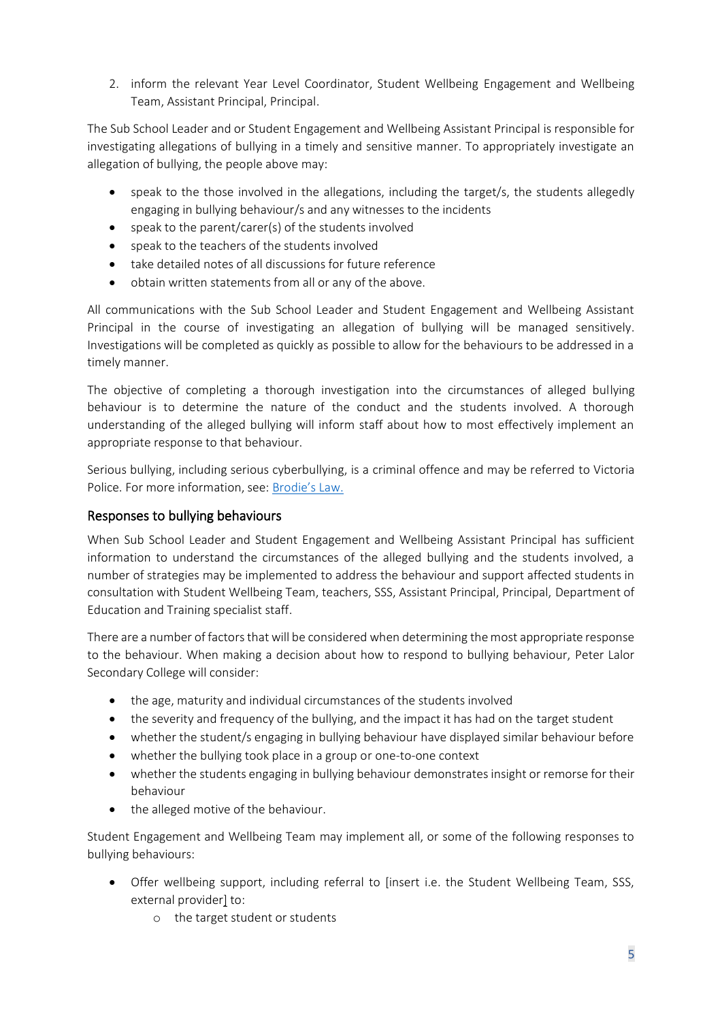2. inform the relevant Year Level Coordinator, Student Wellbeing Engagement and Wellbeing Team, Assistant Principal, Principal.

The Sub School Leader and or Student Engagement and Wellbeing Assistant Principal is responsible for investigating allegations of bullying in a timely and sensitive manner. To appropriately investigate an allegation of bullying, the people above may:

- speak to the those involved in the allegations, including the target/s, the students allegedly engaging in bullying behaviour/s and any witnesses to the incidents
- speak to the parent/carer(s) of the students involved
- speak to the teachers of the students involved
- take detailed notes of all discussions for future reference
- obtain written statements from all or any of the above.

All communications with the Sub School Leader and Student Engagement and Wellbeing Assistant Principal in the course of investigating an allegation of bullying will be managed sensitively. Investigations will be completed as quickly as possible to allow for the behaviours to be addressed in a timely manner.

The objective of completing a thorough investigation into the circumstances of alleged bullying behaviour is to determine the nature of the conduct and the students involved. A thorough understanding of the alleged bullying will inform staff about how to most effectively implement an appropriate response to that behaviour.

Serious bullying, including serious cyberbullying, is a criminal offence and may be referred to Victoria Police. For more information, see: [Brodie's Law.](http://www.education.vic.gov.au/about/programs/bullystoppers/Pages/advicesheetbrodieslaw.aspx)

## Responses to bullying behaviours

When Sub School Leader and Student Engagement and Wellbeing Assistant Principal has sufficient information to understand the circumstances of the alleged bullying and the students involved, a number of strategies may be implemented to address the behaviour and support affected students in consultation with Student Wellbeing Team, teachers, SSS, Assistant Principal, Principal, Department of Education and Training specialist staff.

There are a number of factors that will be considered when determining the most appropriate response to the behaviour. When making a decision about how to respond to bullying behaviour, Peter Lalor Secondary College will consider:

- the age, maturity and individual circumstances of the students involved
- the severity and frequency of the bullying, and the impact it has had on the target student
- whether the student/s engaging in bullying behaviour have displayed similar behaviour before
- whether the bullying took place in a group or one-to-one context
- whether the students engaging in bullying behaviour demonstrates insight or remorse for their behaviour
- the alleged motive of the behaviour.

Student Engagement and Wellbeing Team may implement all, or some of the following responses to bullying behaviours:

- Offer wellbeing support, including referral to [insert i.e. the Student Wellbeing Team, SSS, external provider] to:
	- o the target student or students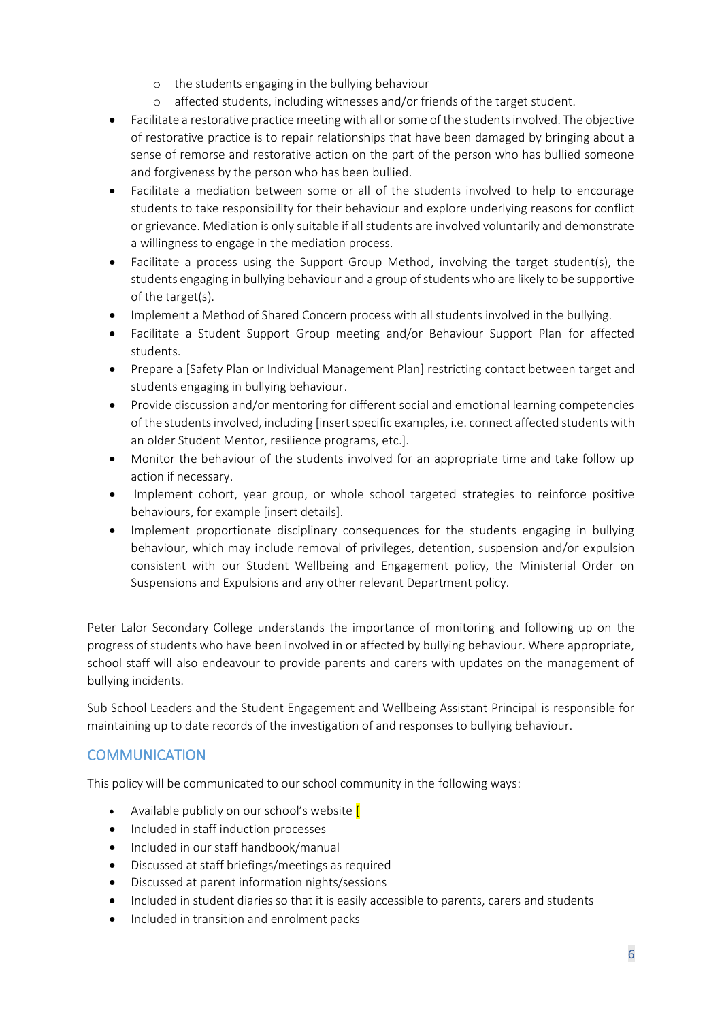- o the students engaging in the bullying behaviour
- o affected students, including witnesses and/or friends of the target student.
- Facilitate a restorative practice meeting with all or some of the students involved. The objective of restorative practice is to repair relationships that have been damaged by bringing about a sense of remorse and restorative action on the part of the person who has bullied someone and forgiveness by the person who has been bullied.
- Facilitate a mediation between some or all of the students involved to help to encourage students to take responsibility for their behaviour and explore underlying reasons for conflict or grievance. Mediation is only suitable if all students are involved voluntarily and demonstrate a willingness to engage in the mediation process.
- Facilitate a process using the Support Group Method, involving the target student(s), the students engaging in bullying behaviour and a group of students who are likely to be supportive of the target(s).
- Implement a Method of Shared Concern process with all students involved in the bullying.
- Facilitate a Student Support Group meeting and/or Behaviour Support Plan for affected students.
- Prepare a [Safety Plan or Individual Management Plan] restricting contact between target and students engaging in bullying behaviour.
- Provide discussion and/or mentoring for different social and emotional learning competencies of the students involved, including [insert specific examples, i.e. connect affected students with an older Student Mentor, resilience programs, etc.].
- Monitor the behaviour of the students involved for an appropriate time and take follow up action if necessary.
- Implement cohort, year group, or whole school targeted strategies to reinforce positive behaviours, for example [insert details].
- Implement proportionate disciplinary consequences for the students engaging in bullying behaviour, which may include removal of privileges, detention, suspension and/or expulsion consistent with our Student Wellbeing and Engagement policy, the Ministerial Order on Suspensions and Expulsions and any other relevant Department policy.

Peter Lalor Secondary College understands the importance of monitoring and following up on the progress of students who have been involved in or affected by bullying behaviour. Where appropriate, school staff will also endeavour to provide parents and carers with updates on the management of bullying incidents.

Sub School Leaders and the Student Engagement and Wellbeing Assistant Principal is responsible for maintaining up to date records of the investigation of and responses to bullying behaviour.

## **COMMUNICATION**

This policy will be communicated to our school community in the following ways:

- Available publicly on our school's website [
- Included in staff induction processes
- Included in our staff handbook/manual
- Discussed at staff briefings/meetings as required
- Discussed at parent information nights/sessions
- Included in student diaries so that it is easily accessible to parents, carers and students
- Included in transition and enrolment packs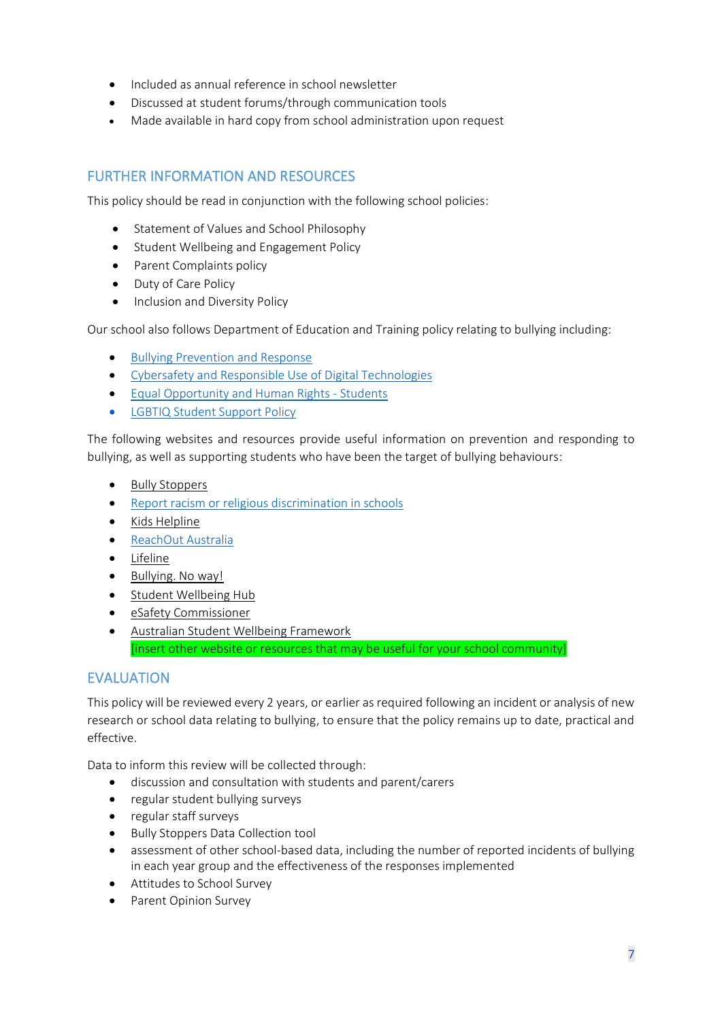- Included as annual reference in school newsletter
- Discussed at student forums/through communication tools
- Made available in hard copy from school administration upon request

## FURTHER INFORMATION AND RESOURCES

This policy should be read in conjunction with the following school policies:

- Statement of Values and School Philosophy
- Student Wellbeing and Engagement Policy
- Parent Complaints policy
- Duty of Care Policy
- Inclusion and Diversity Policy

Our school also follows Department of Education and Training policy relating to bullying including:

- [Bullying Prevention and Response](https://www2.education.vic.gov.au/pal/bullying-prevention-response/policy)
- [Cybersafety and Responsible Use of Digital Technologies](https://www2.education.vic.gov.au/pal/cybersafety/policy)
- [Equal Opportunity and Human Rights -](https://www2.education.vic.gov.au/pal/equal-opportunity-human-rights-students/policy) Students
- [LGBTIQ Student Support Policy](https://www2.education.vic.gov.au/pal/lgbtiq-student-support/policy)

The following websites and resources provide useful information on prevention and responding to bullying, as well as supporting students who have been the target of bullying behaviours:

- [Bully Stoppers](https://www.education.vic.gov.au/about/programs/bullystoppers/Pages/default.aspx)
- [Report racism or religious discrimination in schools](https://www.vic.gov.au/report-racism-or-religious-discrimination-schools)
- Kids [Helpline](https://kidshelpline.com.au/)
- [ReachOut Australia](https://au.reachout.com/)
- [Lifeline](https://www.lifeline.org.au/)
- [Bullying. No way!](https://bullyingnoway.gov.au/)
- [Student Wellbeing Hub](https://www.studentwellbeinghub.edu.au/)
- [eSafety Commissioner](https://www.esafety.gov.au/)
- [Australian Student Wellbeing Framework](https://studentwellbeinghub.edu.au/educators/resources/australian-student-wellbeing-framework/) [insert other website or resources that may be useful for your school community]

## EVALUATION

This policy will be reviewed every 2 years, or earlier as required following an incident or analysis of new research or school data relating to bullying, to ensure that the policy remains up to date, practical and effective.

Data to inform this review will be collected through:

- discussion and consultation with students and parent/carers
- regular student bullying surveys
- regular staff surveys
- Bully Stoppers Data Collection tool
- assessment of other school-based data, including the number of reported incidents of bullying in each year group and the effectiveness of the responses implemented
- Attitudes to School Survey
- Parent Opinion Survey